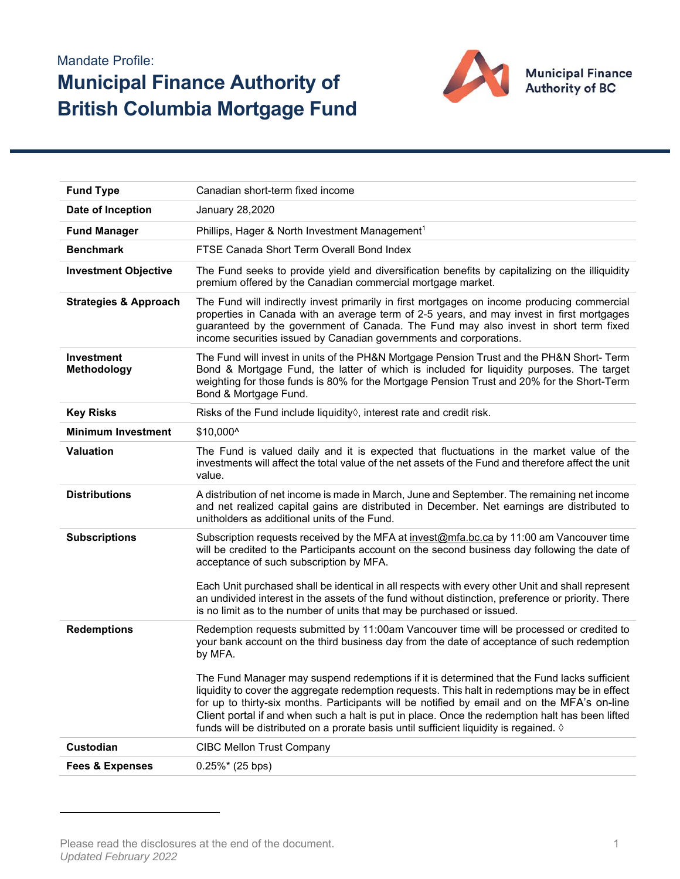## Mandate Profile: **Municipal Finance Authority of British Columbia Mortgage Fund**



| <b>Fund Type</b>                 | Canadian short-term fixed income                                                                                                                                                                                                                                                                                                                                                                                                                                                                     |  |  |  |  |
|----------------------------------|------------------------------------------------------------------------------------------------------------------------------------------------------------------------------------------------------------------------------------------------------------------------------------------------------------------------------------------------------------------------------------------------------------------------------------------------------------------------------------------------------|--|--|--|--|
| Date of Inception                | January 28,2020                                                                                                                                                                                                                                                                                                                                                                                                                                                                                      |  |  |  |  |
| <b>Fund Manager</b>              | Phillips, Hager & North Investment Management <sup>1</sup>                                                                                                                                                                                                                                                                                                                                                                                                                                           |  |  |  |  |
| <b>Benchmark</b>                 | FTSE Canada Short Term Overall Bond Index                                                                                                                                                                                                                                                                                                                                                                                                                                                            |  |  |  |  |
| <b>Investment Objective</b>      | The Fund seeks to provide yield and diversification benefits by capitalizing on the illiquidity<br>premium offered by the Canadian commercial mortgage market.                                                                                                                                                                                                                                                                                                                                       |  |  |  |  |
| <b>Strategies &amp; Approach</b> | The Fund will indirectly invest primarily in first mortgages on income producing commercial<br>properties in Canada with an average term of 2-5 years, and may invest in first mortgages<br>guaranteed by the government of Canada. The Fund may also invest in short term fixed<br>income securities issued by Canadian governments and corporations.                                                                                                                                               |  |  |  |  |
| <b>Investment</b><br>Methodology | The Fund will invest in units of the PH&N Mortgage Pension Trust and the PH&N Short- Term<br>Bond & Mortgage Fund, the latter of which is included for liquidity purposes. The target<br>weighting for those funds is 80% for the Mortgage Pension Trust and 20% for the Short-Term<br>Bond & Mortgage Fund.                                                                                                                                                                                         |  |  |  |  |
| <b>Key Risks</b>                 | Risks of the Fund include liquidity of interest rate and credit risk.                                                                                                                                                                                                                                                                                                                                                                                                                                |  |  |  |  |
| <b>Minimum Investment</b>        | \$10,000^                                                                                                                                                                                                                                                                                                                                                                                                                                                                                            |  |  |  |  |
| <b>Valuation</b>                 | The Fund is valued daily and it is expected that fluctuations in the market value of the<br>investments will affect the total value of the net assets of the Fund and therefore affect the unit<br>value.                                                                                                                                                                                                                                                                                            |  |  |  |  |
| <b>Distributions</b>             | A distribution of net income is made in March, June and September. The remaining net income<br>and net realized capital gains are distributed in December. Net earnings are distributed to<br>unitholders as additional units of the Fund.                                                                                                                                                                                                                                                           |  |  |  |  |
| <b>Subscriptions</b>             | Subscription requests received by the MFA at invest@mfa.bc.ca by 11:00 am Vancouver time<br>will be credited to the Participants account on the second business day following the date of<br>acceptance of such subscription by MFA.                                                                                                                                                                                                                                                                 |  |  |  |  |
|                                  | Each Unit purchased shall be identical in all respects with every other Unit and shall represent<br>an undivided interest in the assets of the fund without distinction, preference or priority. There<br>is no limit as to the number of units that may be purchased or issued.                                                                                                                                                                                                                     |  |  |  |  |
| <b>Redemptions</b>               | Redemption requests submitted by 11:00am Vancouver time will be processed or credited to<br>your bank account on the third business day from the date of acceptance of such redemption<br>by MFA.                                                                                                                                                                                                                                                                                                    |  |  |  |  |
|                                  | The Fund Manager may suspend redemptions if it is determined that the Fund lacks sufficient<br>liquidity to cover the aggregate redemption requests. This halt in redemptions may be in effect<br>for up to thirty-six months. Participants will be notified by email and on the MFA's on-line<br>Client portal if and when such a halt is put in place. Once the redemption halt has been lifted<br>funds will be distributed on a prorate basis until sufficient liquidity is regained. $\Diamond$ |  |  |  |  |
| <b>Custodian</b>                 | <b>CIBC Mellon Trust Company</b>                                                                                                                                                                                                                                                                                                                                                                                                                                                                     |  |  |  |  |
| <b>Fees &amp; Expenses</b>       | $0.25\%*$ (25 bps)                                                                                                                                                                                                                                                                                                                                                                                                                                                                                   |  |  |  |  |

Please read the disclosures at the end of the document. The state of the state of the state of the state of the state of the state of the state of the state of the state of the state of the state of the state of the state *Updated February 2022*